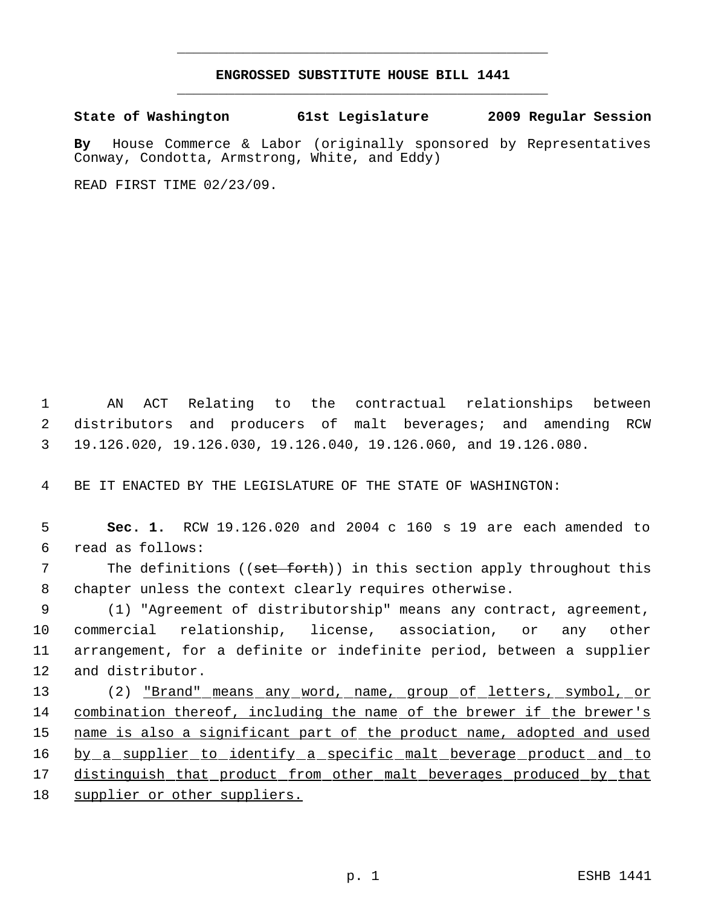## **ENGROSSED SUBSTITUTE HOUSE BILL 1441** \_\_\_\_\_\_\_\_\_\_\_\_\_\_\_\_\_\_\_\_\_\_\_\_\_\_\_\_\_\_\_\_\_\_\_\_\_\_\_\_\_\_\_\_\_

\_\_\_\_\_\_\_\_\_\_\_\_\_\_\_\_\_\_\_\_\_\_\_\_\_\_\_\_\_\_\_\_\_\_\_\_\_\_\_\_\_\_\_\_\_

**State of Washington 61st Legislature 2009 Regular Session**

**By** House Commerce & Labor (originally sponsored by Representatives Conway, Condotta, Armstrong, White, and Eddy)

READ FIRST TIME 02/23/09.

 1 AN ACT Relating to the contractual relationships between 2 distributors and producers of malt beverages; and amending RCW 3 19.126.020, 19.126.030, 19.126.040, 19.126.060, and 19.126.080.

4 BE IT ENACTED BY THE LEGISLATURE OF THE STATE OF WASHINGTON:

 5 **Sec. 1.** RCW 19.126.020 and 2004 c 160 s 19 are each amended to 6 read as follows:

7 The definitions ((set forth)) in this section apply throughout this 8 chapter unless the context clearly requires otherwise.

 (1) "Agreement of distributorship" means any contract, agreement, commercial relationship, license, association, or any other arrangement, for a definite or indefinite period, between a supplier and distributor.

13 (2) "Brand" means any word, name, group of letters, symbol, or 14 combination thereof, including the name of the brewer if the brewer's 15 name is also a significant part of the product name, adopted and used 16 by a supplier to identify a specific malt beverage product and to 17 distinguish that product from other malt beverages produced by that 18 supplier or other suppliers.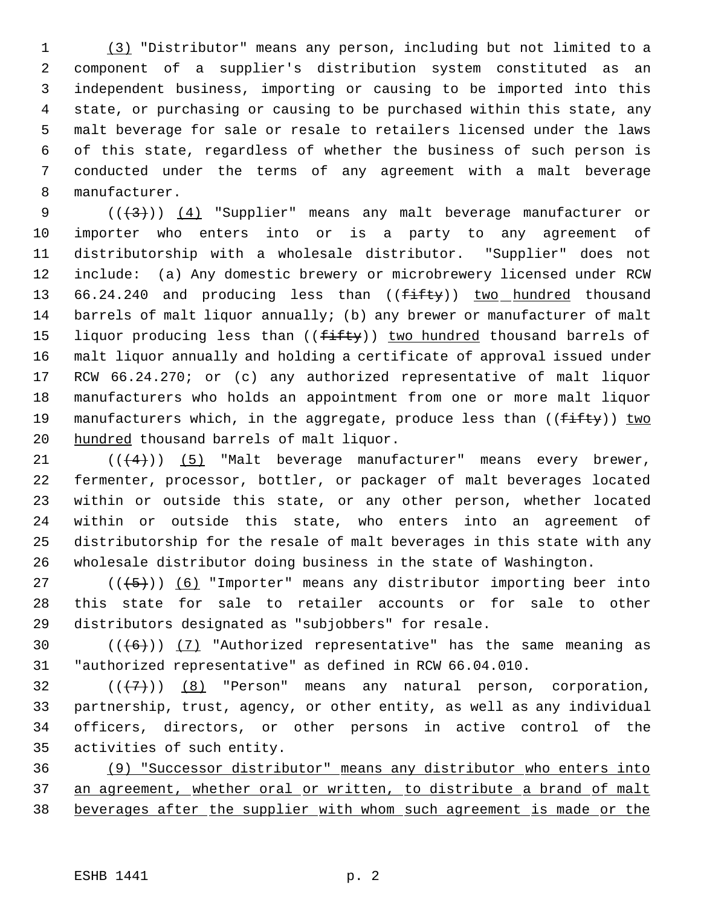(3) "Distributor" means any person, including but not limited to a component of a supplier's distribution system constituted as an independent business, importing or causing to be imported into this state, or purchasing or causing to be purchased within this state, any malt beverage for sale or resale to retailers licensed under the laws of this state, regardless of whether the business of such person is conducted under the terms of any agreement with a malt beverage manufacturer.

 $((+3))$   $(4)$  "Supplier" means any malt beverage manufacturer or importer who enters into or is a party to any agreement of distributorship with a wholesale distributor. "Supplier" does not include: (a) Any domestic brewery or microbrewery licensed under RCW 13 66.24.240 and producing less than ((fifty)) two hundred thousand barrels of malt liquor annually; (b) any brewer or manufacturer of malt 15 liquor producing less than  $((f\text{-}ff\text{-}f\text{-}g))$  two hundred thousand barrels of malt liquor annually and holding a certificate of approval issued under RCW 66.24.270; or (c) any authorized representative of malt liquor manufacturers who holds an appointment from one or more malt liquor 19 manufacturers which, in the aggregate, produce less than ((fifty)) two 20 hundred thousand barrels of malt liquor.

 $((4+))$  (5) "Malt beverage manufacturer" means every brewer, fermenter, processor, bottler, or packager of malt beverages located within or outside this state, or any other person, whether located within or outside this state, who enters into an agreement of distributorship for the resale of malt beverages in this state with any wholesale distributor doing business in the state of Washington.

27  $((+5))$  (6) "Importer" means any distributor importing beer into this state for sale to retailer accounts or for sale to other distributors designated as "subjobbers" for resale.

30  $((+6))$   $(7)$  "Authorized representative" has the same meaning as "authorized representative" as defined in RCW 66.04.010.

 $((\langle 7 \rangle)(8)$  "Person" means any natural person, corporation, partnership, trust, agency, or other entity, as well as any individual officers, directors, or other persons in active control of the activities of such entity.

 (9) "Successor distributor" means any distributor who enters into 37 an agreement, whether oral or written, to distribute a brand of malt beverages after the supplier with whom such agreement is made or the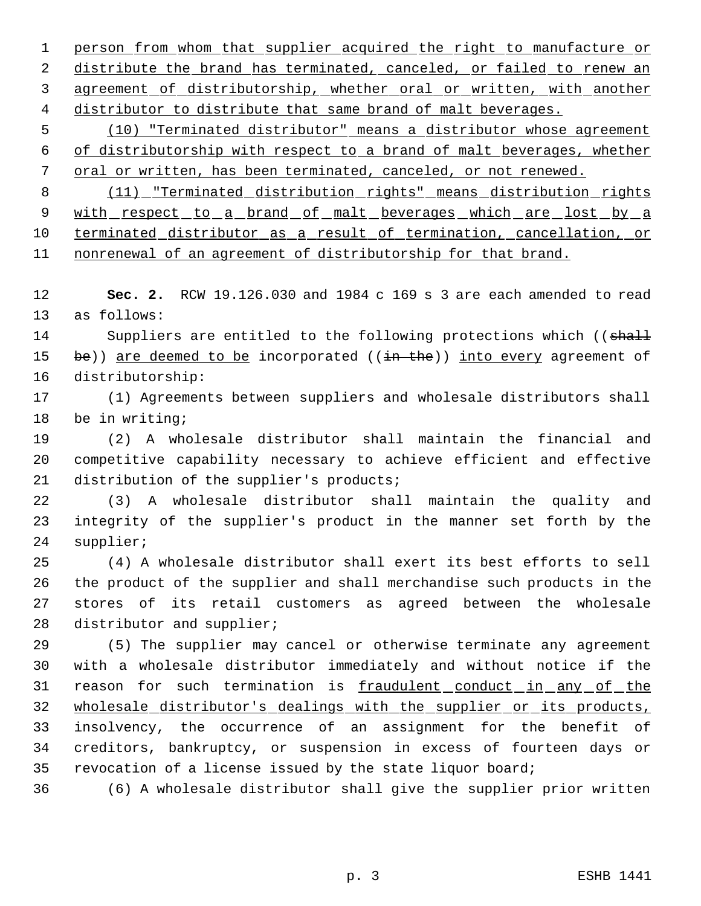1 person from whom that supplier acquired the right to manufacture or 2 distribute the brand has terminated, canceled, or failed to renew an 3 agreement of distributorship, whether oral or written, with another distributor to distribute that same brand of malt beverages.

 (10) "Terminated distributor" means a distributor whose agreement of distributorship with respect to a brand of malt beverages, whether oral or written, has been terminated, canceled, or not renewed.

 (11) "Terminated distribution rights" means distribution rights 9 with respect to a brand of malt beverages which are lost by a 10 terminated distributor as a result of termination, cancellation, or nonrenewal of an agreement of distributorship for that brand.

 **Sec. 2.** RCW 19.126.030 and 1984 c 169 s 3 are each amended to read as follows:

14 Suppliers are entitled to the following protections which ((shall 15 be)) are deemed to be incorporated  $((\frac{1}{10} + \frac{1}{10}))$  into every agreement of distributorship:

 (1) Agreements between suppliers and wholesale distributors shall be in writing;

 (2) A wholesale distributor shall maintain the financial and competitive capability necessary to achieve efficient and effective 21 distribution of the supplier's products;

 (3) A wholesale distributor shall maintain the quality and integrity of the supplier's product in the manner set forth by the supplier;

 (4) A wholesale distributor shall exert its best efforts to sell the product of the supplier and shall merchandise such products in the stores of its retail customers as agreed between the wholesale 28 distributor and supplier;

 (5) The supplier may cancel or otherwise terminate any agreement with a wholesale distributor immediately and without notice if the 31 reason for such termination is fraudulent conduct in any of the wholesale distributor's dealings with the supplier or its products, insolvency, the occurrence of an assignment for the benefit of creditors, bankruptcy, or suspension in excess of fourteen days or revocation of a license issued by the state liquor board;

(6) A wholesale distributor shall give the supplier prior written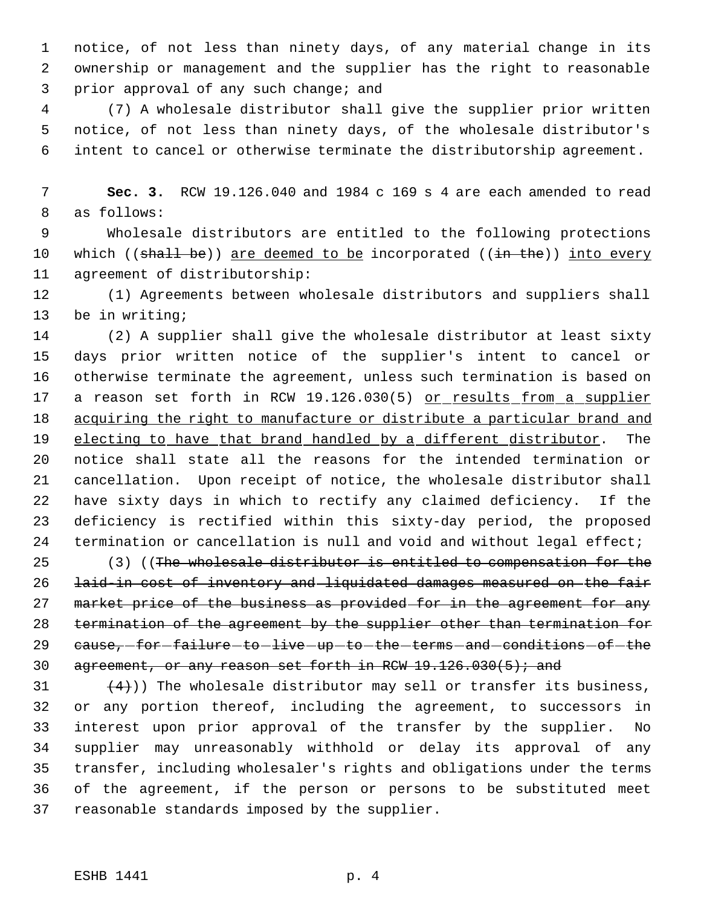notice, of not less than ninety days, of any material change in its ownership or management and the supplier has the right to reasonable prior approval of any such change; and

 (7) A wholesale distributor shall give the supplier prior written notice, of not less than ninety days, of the wholesale distributor's intent to cancel or otherwise terminate the distributorship agreement.

 **Sec. 3.** RCW 19.126.040 and 1984 c 169 s 4 are each amended to read as follows:

 Wholesale distributors are entitled to the following protections 10 which ((shall be)) are deemed to be incorporated ((in the)) into every agreement of distributorship:

 (1) Agreements between wholesale distributors and suppliers shall be in writing;

 (2) A supplier shall give the wholesale distributor at least sixty days prior written notice of the supplier's intent to cancel or otherwise terminate the agreement, unless such termination is based on 17 a reason set forth in RCW 19.126.030(5) or results from a supplier 18 acquiring the right to manufacture or distribute a particular brand and 19 electing to have that brand handled by a different distributor. The notice shall state all the reasons for the intended termination or cancellation. Upon receipt of notice, the wholesale distributor shall have sixty days in which to rectify any claimed deficiency. If the deficiency is rectified within this sixty-day period, the proposed 24 termination or cancellation is null and void and without legal effect;

 (3) ((The wholesale distributor is entitled to compensation for the laid-in cost of inventory and liquidated damages measured on the fair 27 market price of the business as provided for in the agreement for any termination of the agreement by the supplier other than termination for 29 cause, for failure to live up to the terms and conditions of the 30 agreement, or any reason set forth in RCW  $19.126.030(5)$ ; and

 $(4)$ )) The wholesale distributor may sell or transfer its business, or any portion thereof, including the agreement, to successors in interest upon prior approval of the transfer by the supplier. No supplier may unreasonably withhold or delay its approval of any transfer, including wholesaler's rights and obligations under the terms of the agreement, if the person or persons to be substituted meet reasonable standards imposed by the supplier.

## ESHB 1441 p. 4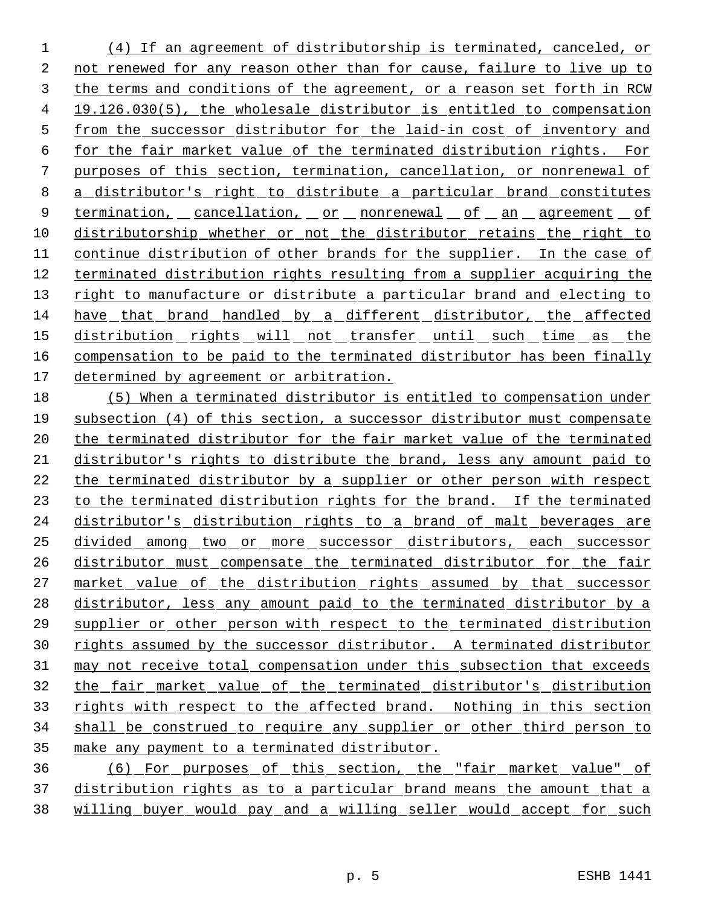(4) If an agreement of distributorship is terminated, canceled, or not renewed for any reason other than for cause, failure to live up to the terms and conditions of the agreement, or a reason set forth in RCW 19.126.030(5), the wholesale distributor is entitled to compensation from the successor distributor for the laid-in cost of inventory and for the fair market value of the terminated distribution rights. For purposes of this section, termination, cancellation, or nonrenewal of a distributor's right to distribute a particular brand constitutes 9 termination, cancellation, or nonrenewal of an agreement of distributorship whether or not the distributor retains the right to continue distribution of other brands for the supplier. In the case of terminated distribution rights resulting from a supplier acquiring the 13 right to manufacture or distribute a particular brand and electing to have that brand handled by a different distributor, the affected 15 distribution rights will not transfer until such time as the compensation to be paid to the terminated distributor has been finally determined by agreement or arbitration.

 (5) When a terminated distributor is entitled to compensation under subsection (4) of this section, a successor distributor must compensate the terminated distributor for the fair market value of the terminated distributor's rights to distribute the brand, less any amount paid to the terminated distributor by a supplier or other person with respect to the terminated distribution rights for the brand. If the terminated 24 distributor's distribution rights to a brand of malt beverages are divided among two or more successor distributors, each successor 26 distributor must compensate the terminated distributor for the fair 27 market value of the distribution rights assumed by that successor 28 distributor, less any amount paid to the terminated distributor by a supplier or other person with respect to the terminated distribution rights assumed by the successor distributor. A terminated distributor 31 may not receive total compensation under this subsection that exceeds the fair market value of the terminated distributor's distribution 33 rights with respect to the affected brand. Nothing in this section shall be construed to require any supplier or other third person to make any payment to a terminated distributor.

 (6) For purposes of this section, the "fair market value" of distribution rights as to a particular brand means the amount that a willing buyer would pay and a willing seller would accept for such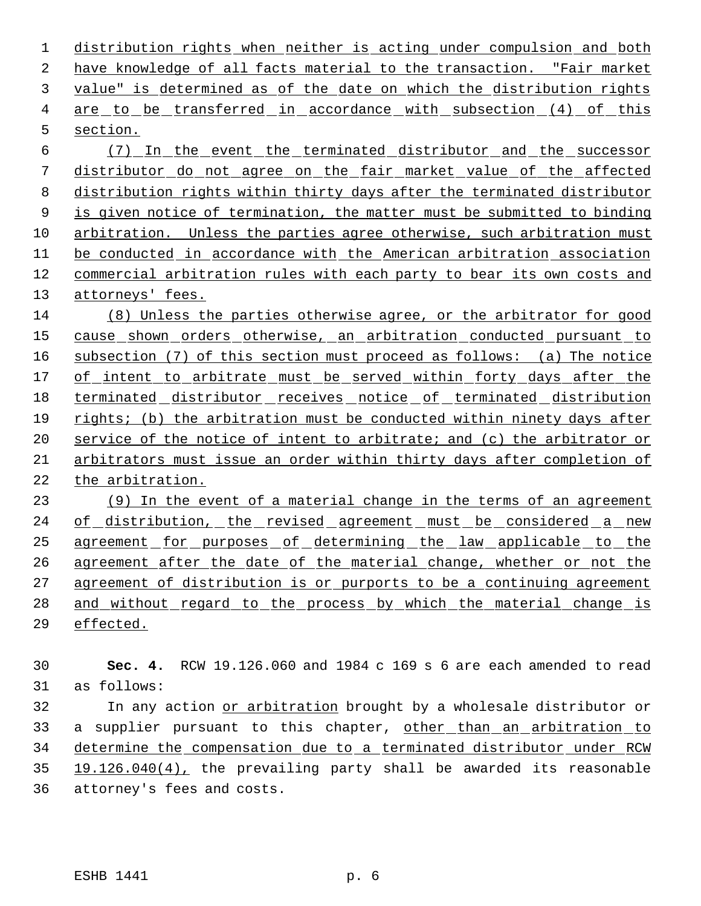distribution rights when neither is acting under compulsion and both have knowledge of all facts material to the transaction. "Fair market value" is determined as of the date on which the distribution rights 4 are to be transferred in accordance with subsection (4) of this section.

 (7) In the event the terminated distributor and the successor distributor do not agree on the fair market value of the affected distribution rights within thirty days after the terminated distributor 9 is given notice of termination, the matter must be submitted to binding arbitration. Unless the parties agree otherwise, such arbitration must be conducted in accordance with the American arbitration association commercial arbitration rules with each party to bear its own costs and attorneys' fees.

 (8) Unless the parties otherwise agree, or the arbitrator for good cause shown orders otherwise, an arbitration conducted pursuant to subsection (7) of this section must proceed as follows: (a) The notice 17 of intent to arbitrate must be served within forty days after the terminated distributor receives notice of terminated distribution rights; (b) the arbitration must be conducted within ninety days after 20 service of the notice of intent to arbitrate; and (c) the arbitrator or arbitrators must issue an order within thirty days after completion of the arbitration.

23 (9) In the event of a material change in the terms of an agreement 24 of distribution, the revised agreement must be considered a new agreement for purposes of determining the law applicable to the 26 agreement after the date of the material change, whether or not the 27 agreement of distribution is or purports to be a continuing agreement 28 and without regard to the process by which the material change is effected.

 **Sec. 4.** RCW 19.126.060 and 1984 c 169 s 6 are each amended to read as follows:

 In any action or arbitration brought by a wholesale distributor or 33 a supplier pursuant to this chapter, other than an arbitration to determine the compensation due to a terminated distributor under RCW 19.126.040(4), the prevailing party shall be awarded its reasonable attorney's fees and costs.